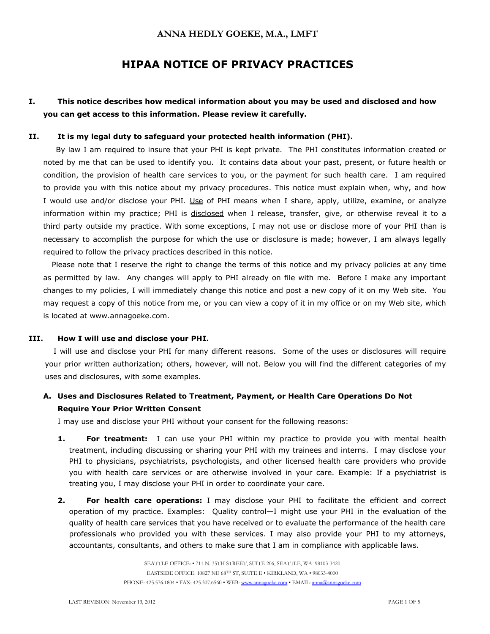# **HIPAA NOTICE OF PRIVACY PRACTICES**

## **I. This notice describes how medical information about you may be used and disclosed and how you can get access to this information. Please review it carefully.**

#### **II. It is my legal duty to safeguard your protected health information (PHI).**

 By law I am required to insure that your PHI is kept private. The PHI constitutes information created or noted by me that can be used to identify you. It contains data about your past, present, or future health or condition, the provision of health care services to you, or the payment for such health care. I am required to provide you with this notice about my privacy procedures. This notice must explain when, why, and how I would use and/or disclose your PHI. Use of PHI means when I share, apply, utilize, examine, or analyze information within my practice; PHI is disclosed when I release, transfer, give, or otherwise reveal it to a third party outside my practice. With some exceptions, I may not use or disclose more of your PHI than is necessary to accomplish the purpose for which the use or disclosure is made; however, I am always legally required to follow the privacy practices described in this notice.

Please note that I reserve the right to change the terms of this notice and my privacy policies at any time as permitted by law. Any changes will apply to PHI already on file with me. Before I make any important changes to my policies, I will immediately change this notice and post a new copy of it on my Web site. You may request a copy of this notice from me, or you can view a copy of it in my office or on my Web site, which is located at www.annagoeke.com.

#### **III. How I will use and disclose your PHI.**

I will use and disclose your PHI for many different reasons. Some of the uses or disclosures will require your prior written authorization; others, however, will not. Below you will find the different categories of my uses and disclosures, with some examples.

## **A. Uses and Disclosures Related to Treatment, Payment, or Health Care Operations Do Not Require Your Prior Written Consent**

I may use and disclose your PHI without your consent for the following reasons:

- **1. For treatment:** I can use your PHI within my practice to provide you with mental health treatment, including discussing or sharing your PHI with my trainees and interns. I may disclose your PHI to physicians, psychiatrists, psychologists, and other licensed health care providers who provide you with health care services or are otherwise involved in your care. Example: If a psychiatrist is treating you, I may disclose your PHI in order to coordinate your care.
- **2. For health care operations:** I may disclose your PHI to facilitate the efficient and correct operation of my practice. Examples: Quality control—I might use your PHI in the evaluation of the quality of health care services that you have received or to evaluate the performance of the health care professionals who provided you with these services. I may also provide your PHI to my attorneys, accountants, consultants, and others to make sure that I am in compliance with applicable laws.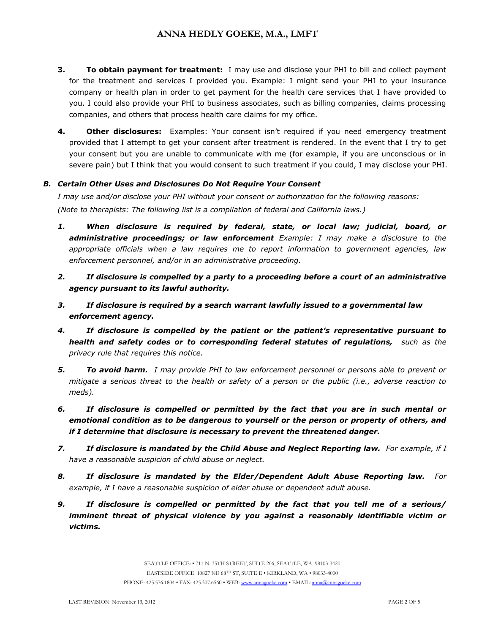- **3. To obtain payment for treatment:** I may use and disclose your PHI to bill and collect payment for the treatment and services I provided you. Example: I might send your PHI to your insurance company or health plan in order to get payment for the health care services that I have provided to you. I could also provide your PHI to business associates, such as billing companies, claims processing companies, and others that process health care claims for my office.
- **4.** Other disclosures: Examples: Your consent isn't required if you need emergency treatment provided that I attempt to get your consent after treatment is rendered. In the event that I try to get your consent but you are unable to communicate with me (for example, if you are unconscious or in severe pain) but I think that you would consent to such treatment if you could, I may disclose your PHI.

## *B. Certain Other Uses and Disclosures Do Not Require Your Consent*

*I may use and/or disclose your PHI without your consent or authorization for the following reasons: (Note to therapists: The following list is a compilation of federal and California laws.)*

- *1. When disclosure is required by federal, state, or local law; judicial, board, or administrative proceedings; or law enforcement Example: I may make a disclosure to the appropriate officials when a law requires me to report information to government agencies, law enforcement personnel, and/or in an administrative proceeding.*
- *2. If disclosure is compelled by a party to a proceeding before a court of an administrative agency pursuant to its lawful authority.*
- *3. If disclosure is required by a search warrant lawfully issued to a governmental law enforcement agency.*
- *4. If disclosure is compelled by the patient or the patient's representative pursuant to health and safety codes or to corresponding federal statutes of regulations, such as the privacy rule that requires this notice.*
- *5. To avoid harm. I may provide PHI to law enforcement personnel or persons able to prevent or mitigate a serious threat to the health or safety of a person or the public (i.e., adverse reaction to meds).*
- *6. If disclosure is compelled or permitted by the fact that you are in such mental or emotional condition as to be dangerous to yourself or the person or property of others, and if I determine that disclosure is necessary to prevent the threatened danger.*
- *7. If disclosure is mandated by the Child Abuse and Neglect Reporting law. For example, if I have a reasonable suspicion of child abuse or neglect.*
- *8. If disclosure is mandated by the Elder/Dependent Adult Abuse Reporting law. For example, if I have a reasonable suspicion of elder abuse or dependent adult abuse.*
- *9. If disclosure is compelled or permitted by the fact that you tell me of a serious/ imminent threat of physical violence by you against a reasonably identifiable victim or victims.*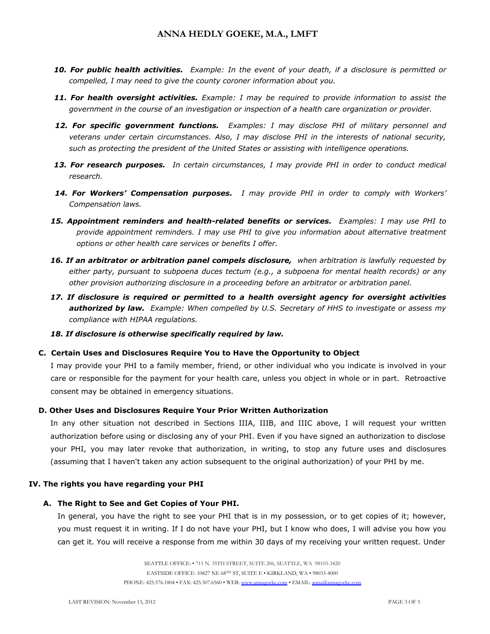- *10. For public health activities. Example: In the event of your death, if a disclosure is permitted or compelled, I may need to give the county coroner information about you.*
- *11. For health oversight activities. Example: I may be required to provide information to assist the government in the course of an investigation or inspection of a health care organization or provider.*
- *12. For specific government functions. Examples: I may disclose PHI of military personnel and veterans under certain circumstances. Also, I may disclose PHI in the interests of national security, such as protecting the president of the United States or assisting with intelligence operations.*
- *13. For research purposes. In certain circumstances, I may provide PHI in order to conduct medical research.*
- *14. For Workers' Compensation purposes. I may provide PHI in order to comply with Workers' Compensation laws.*
- *15. Appointment reminders and health-related benefits or services. Examples: I may use PHI to provide appointment reminders. I may use PHI to give you information about alternative treatment options or other health care services or benefits I offer.*
- *16. If an arbitrator or arbitration panel compels disclosure, when arbitration is lawfully requested by either party, pursuant to subpoena duces tectum (e.g., a subpoena for mental health records) or any other provision authorizing disclosure in a proceeding before an arbitrator or arbitration panel.*
- *17. If disclosure is required or permitted to a health oversight agency for oversight activities authorized by law. Example: When compelled by U.S. Secretary of HHS to investigate or assess my compliance with HIPAA regulations.*
- *18. If disclosure is otherwise specifically required by law.*

### **C. Certain Uses and Disclosures Require You to Have the Opportunity to Object**

I may provide your PHI to a family member, friend, or other individual who you indicate is involved in your care or responsible for the payment for your health care, unless you object in whole or in part. Retroactive consent may be obtained in emergency situations.

### **D. Other Uses and Disclosures Require Your Prior Written Authorization**

In any other situation not described in Sections IIIA, IIIB, and IIIC above, I will request your written authorization before using or disclosing any of your PHI. Even if you have signed an authorization to disclose your PHI, you may later revoke that authorization, in writing, to stop any future uses and disclosures (assuming that I haven't taken any action subsequent to the original authorization) of your PHI by me.

#### **IV. The rights you have regarding your PHI**

#### **A. The Right to See and Get Copies of Your PHI.**

In general, you have the right to see your PHI that is in my possession, or to get copies of it; however, you must request it in writing. If I do not have your PHI, but I know who does, I will advise you how you can get it. You will receive a response from me within 30 days of my receiving your written request. Under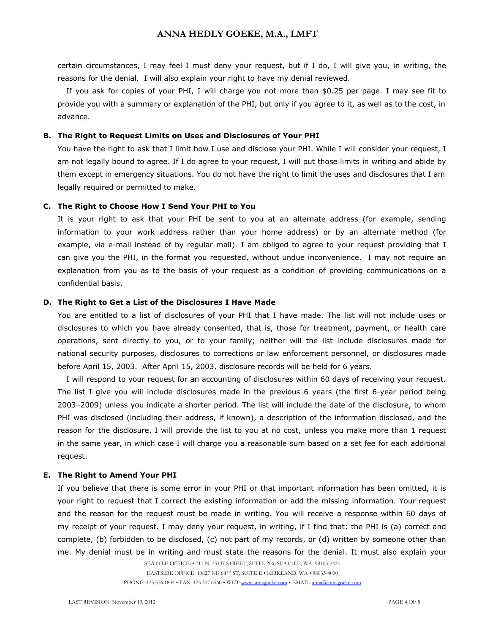certain circumstances, I may feel I must deny your request, but if I do, I will give you, in writing, the reasons for the denial. I will also explain your right to have my denial reviewed.

If you ask for copies of your PHI, I will charge you not more than \$0.25 per page. I may see fit to provide you with a summary or explanation of the PHI, but only if you agree to it, as well as to the cost, in advance.

#### **B. The Right to Request Limits on Uses and Disclosures of Your PHI**

You have the right to ask that I limit how I use and disclose your PHI. While I will consider your request, I am not legally bound to agree. If I do agree to your request, I will put those limits in writing and abide by them except in emergency situations. You do not have the right to limit the uses and disclosures that I am legally required or permitted to make.

#### **C. The Right to Choose How I Send Your PHI to You**

It is your right to ask that your PHI be sent to you at an alternate address (for example, sending information to your work address rather than your home address) or by an alternate method (for example, via e-mail instead of by regular mail). I am obliged to agree to your request providing that I can give you the PHI, in the format you requested, without undue inconvenience. I may not require an explanation from you as to the basis of your request as a condition of providing communications on a confidential basis.

#### **D. The Right to Get a List of the Disclosures I Have Made**

You are entitled to a list of disclosures of your PHI that I have made. The list will not include uses or disclosures to which you have already consented, that is, those for treatment, payment, or health care operations, sent directly to you, or to your family; neither will the list include disclosures made for national security purposes, disclosures to corrections or law enforcement personnel, or disclosures made before April 15, 2003. After April 15, 2003, disclosure records will be held for 6 years.

I will respond to your request for an accounting of disclosures within 60 days of receiving your request. The list I give you will include disclosures made in the previous 6 years (the first 6-year period being 2003–2009) unless you indicate a shorter period. The list will include the date of the disclosure, to whom PHI was disclosed (including their address, if known), a description of the information disclosed, and the reason for the disclosure. I will provide the list to you at no cost, unless you make more than 1 request in the same year, in which case I will charge you a reasonable sum based on a set fee for each additional request.

#### **E. The Right to Amend Your PHI**

If you believe that there is some error in your PHI or that important information has been omitted, it is your right to request that I correct the existing information or add the missing information. Your request and the reason for the request must be made in writing. You will receive a response within 60 days of my receipt of your request. I may deny your request, in writing, if I find that: the PHI is (a) correct and complete, (b) forbidden to be disclosed, (c) not part of my records, or (d) written by someone other than me. My denial must be in writing and must state the reasons for the denial. It must also explain your